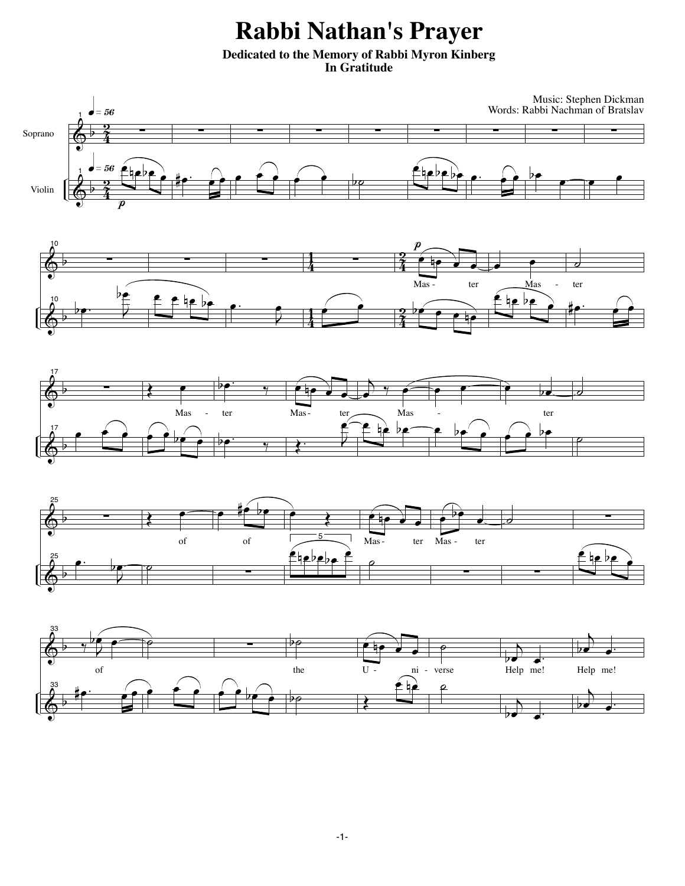## **Rabbi Nathan's Prayer**

**Dedicated to the Memory of Rabbi Myron Kinberg In Gratitude**









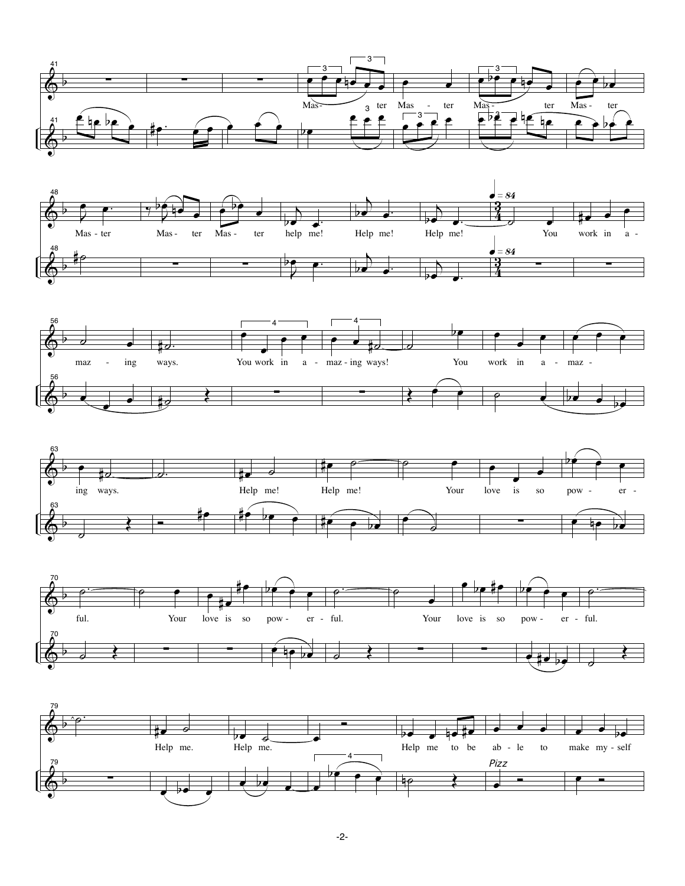









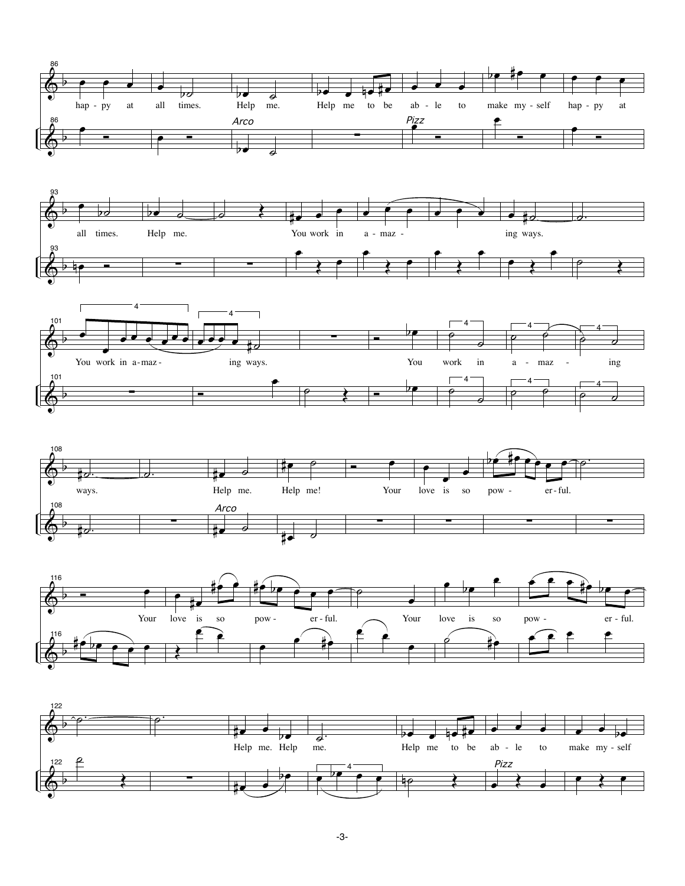